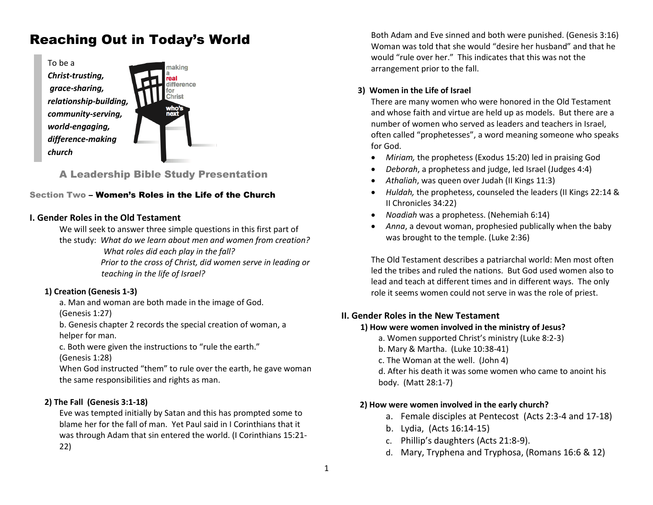# Reaching Out in Today's World



# A Leadership Bible Study Presentation

## Section Two – Women's Roles in the Life of the Church

## **I. Gender Roles in the Old Testament**

We will seek to answer three simple questions in this first part of

the study: *What do we learn about men and women from creation? What roles did each play in the fall?*

> *Prior to the cross of Christ, did women serve in leading or teaching in the life of Israel?*

# **1) Creation (Genesis 1-3)**

a. Man and woman are both made in the image of God. (Genesis 1:27)

b. Genesis chapter 2 records the special creation of woman, a helper for man.

c. Both were given the instructions to "rule the earth."

(Genesis 1:28)

When God instructed "them" to rule over the earth, he gave woman the same responsibilities and rights as man.

# **2) The Fall (Genesis 3:1-18)**

Eve was tempted initially by Satan and this has prompted some to blame her for the fall of man. Yet Paul said in I Corinthians that it was through Adam that sin entered the world. (I Corinthians 15:21- 22)

Both Adam and Eve sinned and both were punished. (Genesis 3:16) Woman was told that she would "desire her husband" and that he would "rule over her." This indicates that this was not the arrangement prior to the fall.

## **3) Women in the Life of Israel**

There are many women who were honored in the Old Testament and whose faith and virtue are held up as models. But there are a number of women who served as leaders and teachers in Israel, often called "prophetesses", a word meaning someone who speaks for God.

- *Miriam,* the prophetess (Exodus 15:20) led in praising God
- *Deborah*, a prophetess and judge, led Israel (Judges 4:4)
- *Athaliah*, was queen over Judah (II Kings 11:3)
- *Huldah,* the prophetess, counseled the leaders (II Kings 22:14 & II Chronicles 34:22)
- *Noadiah* was a prophetess. (Nehemiah 6:14)
- *Anna*, a devout woman, prophesied publically when the baby was brought to the temple. (Luke 2:36)

The Old Testament describes a patriarchal world: Men most often led the tribes and ruled the nations. But God used women also to lead and teach at different times and in different ways. The only role it seems women could not serve in was the role of priest.

# **II. Gender Roles in the New Testament**

# **1) How were women involved in the ministry of Jesus?**

- a. Women supported Christ's ministry (Luke 8:2-3)
- b. Mary & Martha. (Luke 10:38-41)
- c. The Woman at the well. (John 4)

d. After his death it was some women who came to anoint his body. (Matt 28:1-7)

# **2) How were women involved in the early church?**

- a. Female disciples at Pentecost (Acts 2:3-4 and 17-18)
- b. Lydia, (Acts 16:14-15)
- c. Phillip's daughters (Acts 21:8-9).
- d. Mary, Tryphena and Tryphosa, (Romans 16:6 & 12)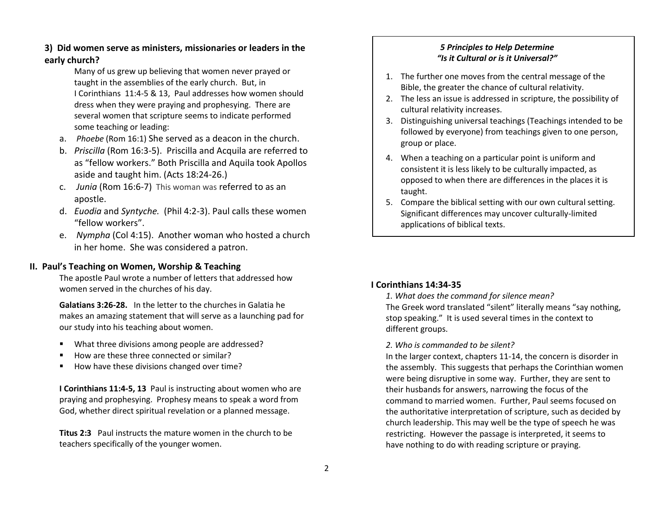# **3) Did women serve as ministers, missionaries or leaders in the early church?**

Many of us grew up believing that women never prayed or taught in the assemblies of the early church. But, in I Corinthians 11:4-5 & 13, Paul addresses how women should dress when they were praying and prophesying. There are several women that scripture seems to indicate performed some teaching or leading:

- a. *Phoebe* (Rom 16:1) She served as a deacon in the church.
- b. *Priscilla* (Rom 16:3-5). Priscilla and Acquila are referred to as "fellow workers." Both Priscilla and Aquila took Apollos aside and taught him. (Acts 18:24-26.)
- c. *Junia* (Rom 16:6-7) This woman was referred to as an apostle.
- d. *Euodia* and *Syntyche.* (Phil 4:2-3). Paul calls these women "fellow workers".
- e. *Nympha* (Col 4:15). Another woman who hosted a church in her home. She was considered a patron.

## **II. Paul's Teaching on Women, Worship & Teaching**

The apostle Paul wrote a number of letters that addressed how women served in the churches of his day.

**Galatians 3:26-28.** In the letter to the churches in Galatia he makes an amazing statement that will serve as a launching pad for our study into his teaching about women.

- What three divisions among people are addressed?
- How are these three connected or similar?
- How have these divisions changed over time?

**I Corinthians 11:4-5, 13** Paul is instructing about women who are praying and prophesying. Prophesy means to speak a word from God, whether direct spiritual revelation or a planned message.

**Titus 2:3** Paul instructs the mature women in the church to be teachers specifically of the younger women.

# *5 Principles to Help Determine "Is it Cultural or is it Universal?"*

- 1. The further one moves from the central message of the Bible, the greater the chance of cultural relativity.
- 2. The less an issue is addressed in scripture, the possibility of cultural relativity increases.
- 3. Distinguishing universal teachings (Teachings intended to be followed by everyone) from teachings given to one person, group or place.
- 4. When a teaching on a particular point is uniform and consistent it is less likely to be culturally impacted, as opposed to when there are differences in the places it is taught.
- 5. Compare the biblical setting with our own cultural setting. Significant differences may uncover culturally-limited applications of biblical texts.

# **I Corinthians 14:34-35**

*1. What does the command for silence mean?* The Greek word translated "silent" literally means "say nothing, stop speaking." It is used several times in the context to different groups.

#### *2. Who is commanded to be silent?*

In the larger context, chapters 11-14, the concern is disorder in the assembly. This suggests that perhaps the Corinthian women were being disruptive in some way. Further, they are sent to their husbands for answers, narrowing the focus of the command to married women. Further, Paul seems focused on the authoritative interpretation of scripture, such as decided by church leadership. This may well be the type of speech he was restricting. However the passage is interpreted, it seems to have nothing to do with reading scripture or praying.